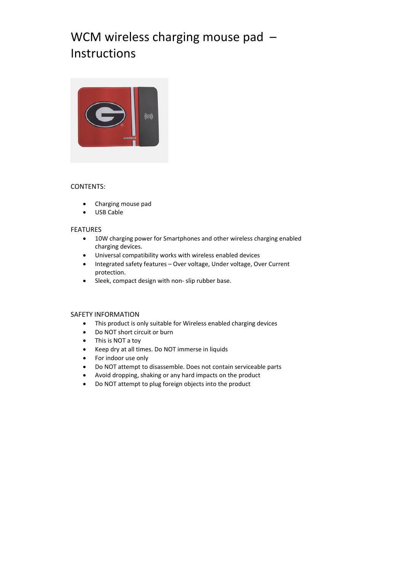# WCM wireless charging mouse pad -Instructions



# CONTENTS:

- Charging mouse pad
- USB Cable

### FEATURES

- 10W charging power for Smartphones and other wireless charging enabled charging devices.
- Universal compatibility works with wireless enabled devices
- Integrated safety features Over voltage, Under voltage, Over Current protection.
- Sleek, compact design with non‐ slip rubber base.

### SAFETY INFORMATION

- This product is only suitable for Wireless enabled charging devices
- Do NOT short circuit or burn
- This is NOT a toy
- Keep dry at all times. Do NOT immerse in liquids
- For indoor use only
- Do NOT attempt to disassemble. Does not contain serviceable parts
- Avoid dropping, shaking or any hard impacts on the product
- Do NOT attempt to plug foreign objects into the product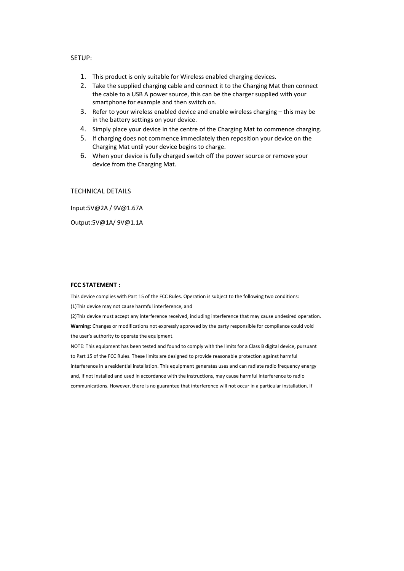## SETUP:

- 1. This product is only suitable for Wireless enabled charging devices.
- 2. Take the supplied charging cable and connect it to the Charging Mat then connect the cable to a USB A power source, this can be the charger supplied with your smartphone for example and then switch on.
- 3. Refer to your wireless enabled device and enable wireless charging this may be in the battery settings on your device.
- 4. Simply place your device in the centre of the Charging Mat to commence charging.
- 5. If charging does not commence immediately then reposition your device on the Charging Mat until your device begins to charge.
- 6. When your device is fully charged switch off the power source or remove your device from the Charging Mat.

## TECHNICAL DETAILS

Input:5V@2A / 9V@1.67A

Output:5V@1A/ 9V@1.1A

#### **FCC STATEMENT :**

This device complies with Part 15 of the FCC Rules. Operation is subject to the following two conditions: (1)This device may not cause harmful interference, and

(2)This device must accept any interference received, including interference that may cause undesired operation. **Warning:** Changes or modifications not expressly approved by the party responsible for compliance could void the user's authority to operate the equipment.

NOTE: This equipment has been tested and found to comply with the limits for a Class B digital device, pursuant to Part 15 of the FCC Rules. These limits are designed to provide reasonable protection against harmful interference in a residential installation. This equipment generates uses and can radiate radio frequency energy and, if not installed and used in accordance with the instructions, may cause harmful interference to radio communications. However, there is no guarantee that interference will not occur in a particular installation. If